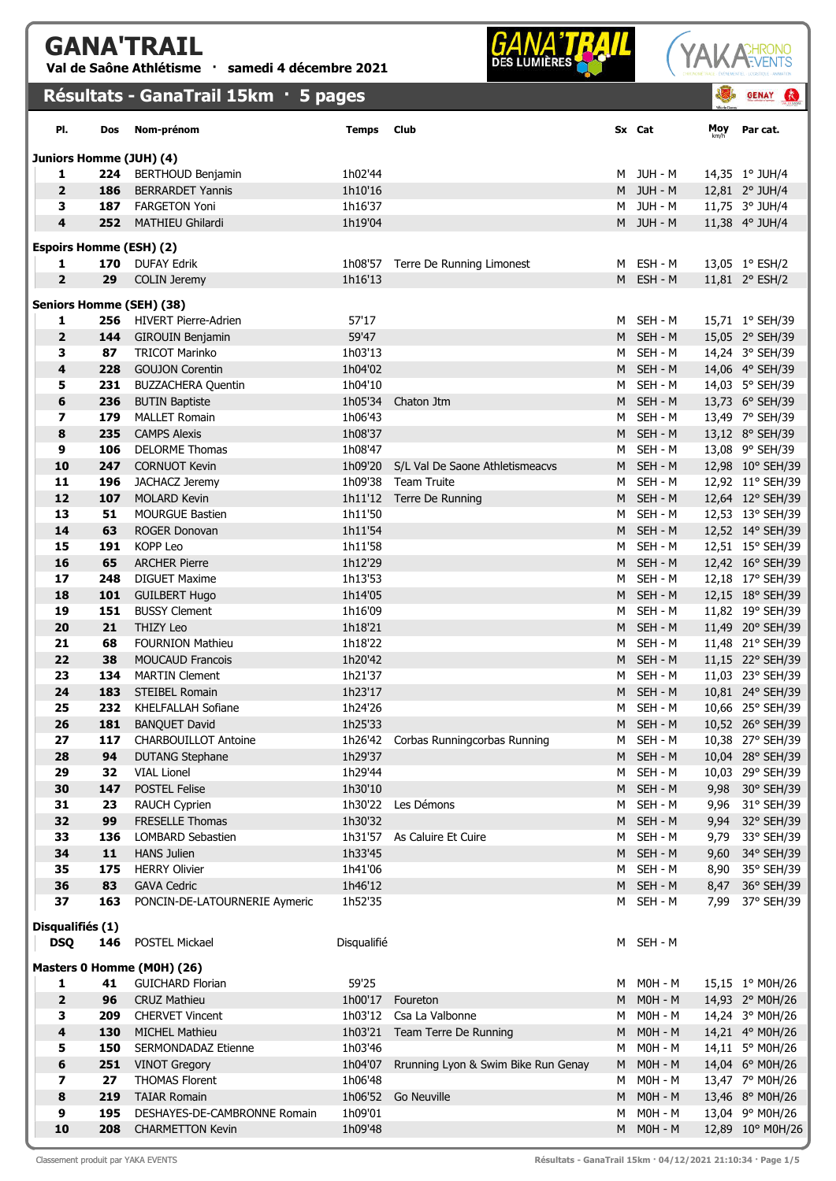## GANA'TRAIL

Val de Saône Athlétisme · samedi 4 décembre 2021

## Résultats - GanaTrail 15km · 5 pages





|                                |     | Résultats - GanaTrail 15km · 5 pages |              |                                      |   |           | 43   | <b>GENAY</b><br>$\bullet$ |
|--------------------------------|-----|--------------------------------------|--------------|--------------------------------------|---|-----------|------|---------------------------|
| PI.                            | Dos | Nom-prénom                           | <b>Temps</b> | Club                                 |   | Sx Cat    | Moy  | Par cat.                  |
| Juniors Homme (JUH) (4)        |     |                                      |              |                                      |   |           |      |                           |
| 1                              | 224 | <b>BERTHOUD Benjamin</b>             | 1h02'44      |                                      |   | M JUH-M   |      | 14,35 1° JUH/4            |
| $\overline{2}$                 | 186 | <b>BERRARDET Yannis</b>              | 1h10'16      |                                      |   | M JUH-M   |      | 12,81 2° JUH/4            |
| 3                              | 187 | <b>FARGETON Yoni</b>                 | 1h16'37      |                                      | M | JUH - M   |      | 11,75 3° JUH/4            |
| 4                              | 252 | <b>MATHIEU Ghilardi</b>              | 1h19'04      |                                      |   | M JUH-M   |      | 11,38 4° JUH/4            |
| <b>Espoirs Homme (ESH) (2)</b> |     |                                      |              |                                      |   |           |      |                           |
| 1                              | 170 | <b>DUFAY Edrik</b>                   |              | 1h08'57 Terre De Running Limonest    |   | M ESH-M   |      | 13,05 1° ESH/2            |
| $\overline{2}$                 | 29  | <b>COLIN Jeremy</b>                  | 1h16'13      |                                      |   | M ESH-M   |      | 11,81 2° ESH/2            |
|                                |     | <b>Seniors Homme (SEH) (38)</b>      |              |                                      |   |           |      |                           |
| 1                              | 256 | HIVERT Pierre-Adrien                 | 57'17        |                                      |   | M SEH-M   |      | 15,71 1° SEH/39           |
| $\overline{2}$                 | 144 | <b>GIROUIN Benjamin</b>              | 59'47        |                                      |   | M SEH-M   |      | 15,05 2° SEH/39           |
| 3                              | 87  | <b>TRICOT Marinko</b>                | 1h03'13      |                                      |   | M SEH-M   |      | 14,24 3° SEH/39           |
| 4                              | 228 | <b>GOUJON Corentin</b>               | 1h04'02      |                                      |   | M SEH-M   |      | 14,06 4° SEH/39           |
| 5                              | 231 | <b>BUZZACHERA Quentin</b>            | 1h04'10      |                                      |   | M SEH-M   |      | 14,03 5° SEH/39           |
| 6                              | 236 | <b>BUTIN Baptiste</b>                | 1h05'34      | Chaton Jtm                           |   | M SEH-M   |      | 13,73 6° SEH/39           |
| $\overline{\mathbf{z}}$        | 179 | <b>MALLET Romain</b>                 | 1h06'43      |                                      | M | SEH - M   |      | 13,49 7° SEH/39           |
| 8                              | 235 | <b>CAMPS Alexis</b>                  | 1h08'37      |                                      |   | M SEH-M   |      | 13,12 8° SEH/39           |
| 9                              | 106 | <b>DELORME Thomas</b>                | 1h08'47      |                                      | M | SEH - M   |      | 13,08 9° SEH/39           |
| 10                             | 247 | <b>CORNUOT Kevin</b>                 | 1h09'20      | S/L Val De Saone Athletismeacvs      |   | M SEH-M   |      | 12,98 10° SEH/39          |
| 11                             | 196 | JACHACZ Jeremy                       |              | 1h09'38 Team Truite                  |   | M SEH-M   |      | 12,92 11° SEH/39          |
| 12                             | 107 | <b>MOLARD Kevin</b>                  |              | 1h11'12 Terre De Running             |   | M SEH-M   |      | 12,64 12° SEH/39          |
| 13                             | 51  | <b>MOURGUE Bastien</b>               | 1h11'50      |                                      | M | SEH - M   |      | 12,53 13° SEH/39          |
| 14                             | 63  | <b>ROGER Donovan</b>                 | 1h11'54      |                                      |   | M SEH-M   |      | 12,52 14° SEH/39          |
| 15                             | 191 | KOPP Leo                             | 1h11'58      |                                      |   | M SEH-M   |      | 12,51 15° SEH/39          |
| 16                             | 65  | <b>ARCHER Pierre</b>                 | 1h12'29      |                                      |   | M SEH-M   |      | 12,42 16° SEH/39          |
| 17                             | 248 | <b>DIGUET Maxime</b>                 | 1h13'53      |                                      |   | M SEH-M   |      | 12,18 17° SEH/39          |
| 18                             | 101 | <b>GUILBERT Hugo</b>                 | 1h14'05      |                                      |   | M SEH-M   |      | 12,15 18° SEH/39          |
| 19                             | 151 | <b>BUSSY Clement</b>                 | 1h16'09      |                                      | M | SEH - M   |      | 11,82 19° SEH/39          |
| 20                             | 21  | <b>THIZY Leo</b>                     | 1h18'21      |                                      | M | SEH - M   |      | 11,49 20° SEH/39          |
| 21                             | 68  | <b>FOURNION Mathieu</b>              | 1h18'22      |                                      | M | SEH - M   |      | 11,48 21° SEH/39          |
| 22                             | 38  | <b>MOUCAUD Francois</b>              | 1h20'42      |                                      | M | SEH - M   |      | 11,15 22° SEH/39          |
| 23                             | 134 | <b>MARTIN Clement</b>                | 1h21'37      |                                      | M | SEH - M   |      | 11,03 23° SEH/39          |
| 24                             | 183 | <b>STEIBEL Romain</b>                | 1h23'17      |                                      |   | M SEH-M   |      | 10,81 24° SEH/39          |
| 25                             | 232 | KHELFALLAH Sofiane                   | 1h24'26      |                                      |   | M SEH-M   |      | 10,66 25° SEH/39          |
| 26                             | 181 | <b>BANQUET David</b>                 | 1h25'33      |                                      |   | M SEH - M |      | 10,52 26° SEH/39          |
| 27                             | 117 | <b>CHARBOUILLOT Antoine</b>          |              | 1h26'42 Corbas Runningcorbas Running | M | SEH - M   |      | 10,38 27° SEH/39          |
| 28                             | 94  | <b>DUTANG Stephane</b>               | 1h29'37      |                                      |   | M SEH - M |      | 10,04 28° SEH/39          |
| 29                             | 32  | <b>VIAL Lionel</b>                   | 1h29'44      |                                      | M | SEH - M   |      | 10,03 29° SEH/39          |
| 30                             | 147 | POSTEL Felise                        | 1h30'10      |                                      |   | M SEH-M   |      | 9,98 30° SEH/39           |
| 31                             | 23  | RAUCH Cyprien                        | 1h30'22      | Les Démons                           | М | SEH - M   | 9,96 | 31° SEH/39                |
| 32                             | 99  | FRESELLE Thomas                      | 1h30'32      |                                      | M | SEH - M   |      | 9,94 32° SEH/39           |
| 33                             | 136 | <b>LOMBARD Sebastien</b>             |              | 1h31'57 As Caluire Et Cuire          | M | SEH - M   | 9,79 | 33° SEH/39                |
| 34                             | 11  | <b>HANS Julien</b>                   | 1h33'45      |                                      | M | SEH - M   | 9,60 | 34° SEH/39                |
| 35                             | 175 | <b>HERRY Olivier</b>                 | 1h41'06      |                                      | M | SEH - M   |      | 8,90 35° SEH/39           |
| 36                             | 83  | <b>GAVA Cedric</b>                   | 1h46'12      |                                      | M | SEH - M   | 8,47 | 36° SEH/39                |
| 37                             | 163 | PONCIN-DE-LATOURNERIE Aymeric        | 1h52'35      |                                      | М | SEH - M   | 7,99 | 37° SEH/39                |
| Disqualifiés (1)               |     |                                      |              |                                      |   |           |      |                           |
| <b>DSQ</b>                     | 146 | POSTEL Mickael                       | Disqualifié  |                                      | M | SEH - M   |      |                           |
|                                |     | Masters 0 Homme (M0H) (26)           |              |                                      |   |           |      |                           |
| 1                              | 41  | <b>GUICHARD Florian</b>              | 59'25        |                                      |   | M MOH-M   |      | 15,15 1° M0H/26           |
| $\mathbf{2}$                   | 96  | <b>CRUZ Mathieu</b>                  | 1h00'17      | Foureton                             | M | $MOH - M$ |      | 14,93 2° M0H/26           |
| з                              | 209 | <b>CHERVET Vincent</b>               | 1h03'12      | Csa La Valbonne                      | м | M0H - M   |      | 14,24 3° M0H/26           |
| $\overline{\mathbf{4}}$        | 130 | <b>MICHEL Mathieu</b>                | 1h03'21      | Team Terre De Running                | M | $MOH - M$ |      | 14,21 4° M0H/26           |
| 5                              | 150 | SERMONDADAZ Etienne                  | 1h03'46      |                                      | М | M0H - M   |      | 14,11 5° M0H/26           |
| 6                              | 251 | <b>VINOT Gregory</b>                 | 1h04'07      | Rrunning Lyon & Swim Bike Run Genay  | M | $MOH - M$ |      | 14,04 6° M0H/26           |
| 7                              | 27  | <b>THOMAS Florent</b>                | 1h06'48      |                                      | M | $MOH - M$ |      | 13,47 7° M0H/26           |
| 8                              | 219 | <b>TAIAR Romain</b>                  |              | 1h06'52 Go Neuville                  | M | $MOH - M$ |      | 13,46 8° M0H/26           |
| 9                              | 195 | DESHAYES-DE-CAMBRONNE Romain         | 1h09'01      |                                      | M | M0H - M   |      | 13,04 9° M0H/26           |
| 10                             | 208 | <b>CHARMETTON Kevin</b>              | 1h09'48      |                                      | M | $MOH - M$ |      | 12,89 10° M0H/26          |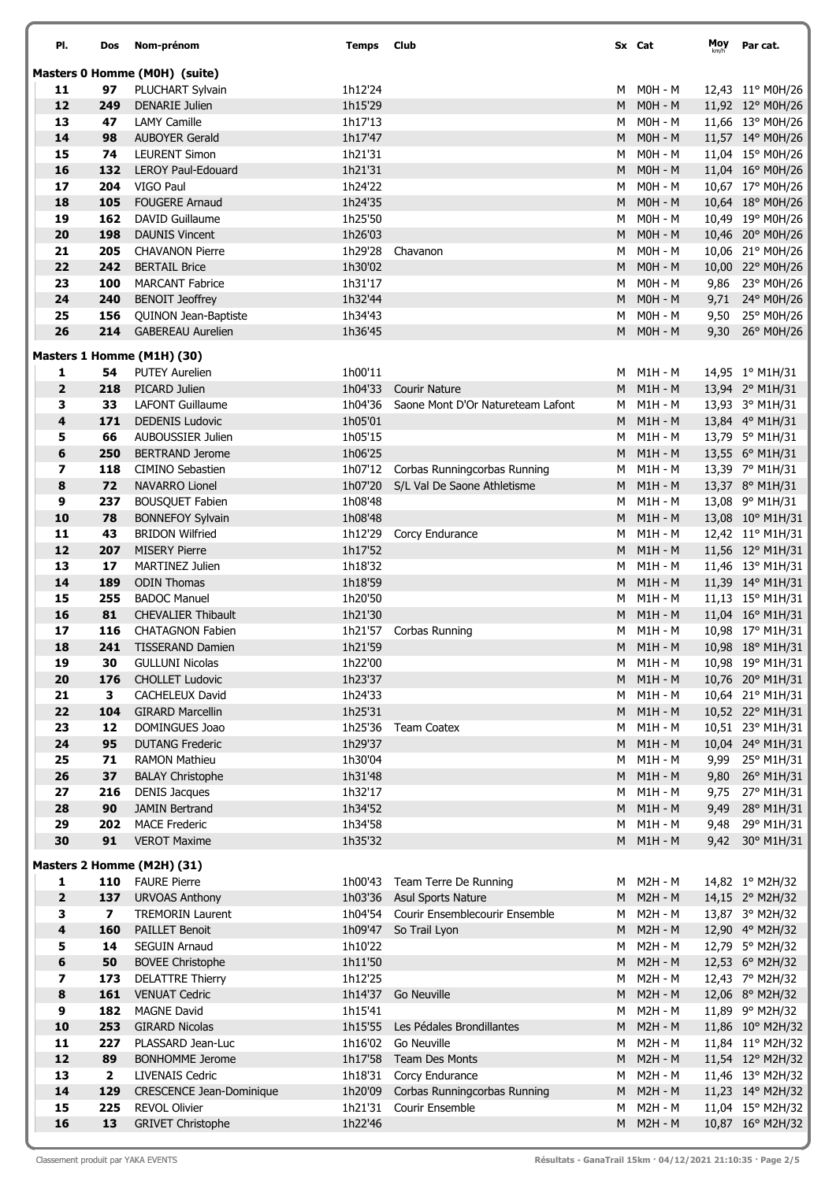| PI.                     | Dos                     | Nom-prénom                                        | Temps              | <b>Club</b>                                                                 |        | Sx Cat                      | Moy  | Par cat.                             |
|-------------------------|-------------------------|---------------------------------------------------|--------------------|-----------------------------------------------------------------------------|--------|-----------------------------|------|--------------------------------------|
|                         |                         | Masters 0 Homme (M0H) (suite)                     |                    |                                                                             |        |                             |      |                                      |
| 11                      | 97                      | PLUCHART Sylvain                                  | 1h12'24            |                                                                             | M      | $MOH - M$                   |      | 12,43 11° M0H/26                     |
| 12                      | 249                     | <b>DENARIE Julien</b>                             | 1h15'29            |                                                                             |        | $M$ $MOH - M$               |      | 11,92 12° M0H/26                     |
| 13                      | 47                      | <b>LAMY Camille</b>                               | 1h17'13            |                                                                             | M      | MOH - M                     |      | 11,66 13° M0H/26                     |
| 14                      | 98                      | <b>AUBOYER Gerald</b>                             | 1h17'47            |                                                                             | M      | $MOH - M$                   |      | 11,57 14° M0H/26                     |
| 15                      | 74                      | <b>LEURENT Simon</b>                              | 1h21'31            |                                                                             | M      | MOH - M                     |      | 11,04 15° M0H/26                     |
| 16                      | 132                     | <b>LEROY Paul-Edouard</b><br>VIGO Paul            | 1h21'31            |                                                                             | M      | $MOH - M$                   |      | 11,04 16° M0H/26                     |
| 17<br>18                | 204<br>105              | <b>FOUGERE Arnaud</b>                             | 1h24'22<br>1h24'35 |                                                                             | м<br>M | $MOH - M$<br>$MOH - M$      |      | 10,67 17° M0H/26<br>10,64 18° M0H/26 |
| 19                      | 162                     | DAVID Guillaume                                   | 1h25'50            |                                                                             | M      | M0H - M                     |      | 10,49 19° M0H/26                     |
| 20                      | 198                     | <b>DAUNIS Vincent</b>                             | 1h26'03            |                                                                             | M      | $MOH - M$                   |      | 10,46 20° M0H/26                     |
| 21                      | 205                     | <b>CHAVANON Pierre</b>                            | 1h29'28            | Chavanon                                                                    | M      | M0H - M                     |      | 10,06 21° M0H/26                     |
| 22                      | 242                     | <b>BERTAIL Brice</b>                              | 1h30'02            |                                                                             |        | M MOH-M                     |      | 10,00 22° M0H/26                     |
| 23                      | 100                     | <b>MARCANT Fabrice</b>                            | 1h31'17            |                                                                             | м      | M0H - M                     |      | 9,86 23° M0H/26                      |
| 24                      | 240                     | <b>BENOIT Jeoffrey</b>                            | 1h32'44            |                                                                             | M      | $MOH - M$                   |      | 9,71 24° M0H/26                      |
| 25                      | 156                     | QUINON Jean-Baptiste                              | 1h34'43            |                                                                             | M      | MOH - M                     |      | 9,50 25° M0H/26                      |
| 26                      | 214                     | <b>GABEREAU Aurelien</b>                          | 1h36'45            |                                                                             | M      | $MOH - M$                   |      | 9,30 26° M0H/26                      |
|                         |                         | Masters 1 Homme (M1H) (30)                        |                    |                                                                             |        |                             |      |                                      |
| 1                       | 54                      | <b>PUTEY Aurelien</b>                             | 1h00'11            |                                                                             |        | M M1H-M                     |      | 14,95 1° M1H/31                      |
| $\overline{\mathbf{2}}$ | 218                     | PICARD Julien                                     | 1h04'33            | <b>Courir Nature</b>                                                        | M      | $M1H - M$                   |      | 13,94 2° M1H/31                      |
| 3                       | 33                      | <b>LAFONT Guillaume</b>                           | 1h04'36            | Saone Mont D'Or Natureteam Lafont                                           | M      | $M1H - M$                   |      | 13,93 3° M1H/31                      |
| 4                       | 171                     | <b>DEDENIS Ludovic</b>                            | 1h05'01            |                                                                             |        | $M$ $M1H - M$               |      | 13,84 4° M1H/31                      |
| 5<br>6                  | 66                      | AUBOUSSIER Julien                                 | 1h05'15            |                                                                             | M      | $M1H - M$                   |      | 13,79 5° M1H/31                      |
| 7                       | 250<br>118              | <b>BERTRAND Jerome</b><br><b>CIMINO Sebastien</b> | 1h06'25            |                                                                             | M      | $M1H - M$<br>M M1H-M        |      | 13,55 6° M1H/31                      |
| 8                       | 72                      | <b>NAVARRO Lionel</b>                             |                    | 1h07'12 Corbas Runningcorbas Running<br>1h07'20 S/L Val De Saone Athletisme | M      | $M1H - M$                   |      | 13,39 7° M1H/31<br>13,37 8° M1H/31   |
| 9                       | 237                     | <b>BOUSQUET Fabien</b>                            | 1h08'48            |                                                                             | M      | $M1H - M$                   |      | 13,08 9° M1H/31                      |
| 10                      | 78                      | <b>BONNEFOY Sylvain</b>                           | 1h08'48            |                                                                             |        | M M1H-M                     |      | 13,08 10° M1H/31                     |
| 11                      | 43                      | <b>BRIDON Wilfried</b>                            | 1h12'29            | Corcy Endurance                                                             | М      | M1H - M                     |      | 12,42 11° M1H/31                     |
| 12                      | 207                     | <b>MISERY Pierre</b>                              | 1h17'52            |                                                                             | M      | $M1H - M$                   |      | 11,56 12° M1H/31                     |
| 13                      | 17                      | <b>MARTINEZ Julien</b>                            | 1h18'32            |                                                                             | M      | $M1H - M$                   |      | 11,46 13° M1H/31                     |
| 14                      | 189                     | <b>ODIN Thomas</b>                                | 1h18'59            |                                                                             | M      | $M1H - M$                   |      | 11,39 14° M1H/31                     |
| 15                      | 255                     | <b>BADOC Manuel</b>                               | 1h20'50            |                                                                             | M      | $M1H - M$                   |      | 11,13 15° M1H/31                     |
| 16                      | 81                      | <b>CHEVALIER Thibault</b>                         | 1h21'30            |                                                                             | M      | $M1H - M$                   |      | 11,04 16° M1H/31                     |
| 17                      | 116                     | <b>CHATAGNON Fabien</b>                           | 1h21'57            | Corbas Running                                                              | M      | $M1H - M$                   |      | 10,98 17° M1H/31                     |
| 18                      | 241                     | <b>TISSERAND Damien</b>                           | 1h21'59            |                                                                             |        | M M1H-M                     |      | 10,98 18° M1H/31                     |
| 19                      | 30                      | <b>GULLUNI Nicolas</b>                            | 1h22'00            |                                                                             |        | M M1H-M                     |      | 10,98 19° M1H/31                     |
| 20                      | 176                     | <b>CHOLLET Ludovic</b>                            | 1h23'37            |                                                                             | M      | $M1H - M$                   |      | 10,76 20° M1H/31                     |
| 21<br>22                | 3<br>104                | <b>CACHELEUX David</b><br><b>GIRARD Marcellin</b> | 1h24'33            |                                                                             | м      | $M1H - M$<br>$M1H - M$      |      | 10,64 21° M1H/31                     |
| 23                      | 12                      | DOMINGUES Joao                                    | 1h25'31<br>1h25'36 | <b>Team Coatex</b>                                                          | M<br>м | $M1H - M$                   |      | 10,52 22° M1H/31<br>10,51 23° M1H/31 |
| 24                      | 95                      | <b>DUTANG Frederic</b>                            | 1h29'37            |                                                                             | M      | $M1H - M$                   |      | 10,04 24° M1H/31                     |
| 25                      | 71                      | <b>RAMON Mathieu</b>                              | 1h30'04            |                                                                             | М      | $M1H - M$                   |      | 9,99 25° M1H/31                      |
| 26                      | 37                      | <b>BALAY Christophe</b>                           | 1h31'48            |                                                                             | M      | $M1H - M$                   |      | 9,80 26° M1H/31                      |
| 27                      | 216                     | <b>DENIS Jacques</b>                              | 1h32'17            |                                                                             | M      | $M1H - M$                   |      | 9,75 27° M1H/31                      |
| 28                      | 90                      | <b>JAMIN Bertrand</b>                             | 1h34'52            |                                                                             | M      | $M1H - M$                   |      | 9,49 28° M1H/31                      |
| 29                      | 202                     | <b>MACE Frederic</b>                              | 1h34'58            |                                                                             | M      | $M1H - M$                   | 9,48 | 29° M1H/31                           |
| 30                      | 91                      | <b>VEROT Maxime</b>                               | 1h35'32            |                                                                             | M      | $M1H - M$                   |      | 9,42 30° M1H/31                      |
|                         |                         | Masters 2 Homme (M2H) (31)                        |                    |                                                                             |        |                             |      |                                      |
| 1                       | 110                     | <b>FAURE Pierre</b>                               |                    | 1h00'43 Team Terre De Running                                               | M      | M2H - M                     |      | 14,82 1° M2H/32                      |
| $\mathbf{2}$            | 137                     | <b>URVOAS Anthony</b>                             |                    | 1h03'36 Asul Sports Nature                                                  | M      | $M2H - M$                   |      | 14,15 2° M2H/32                      |
| 3                       | $\overline{\mathbf{z}}$ | <b>TREMORIN Laurent</b>                           |                    | 1h04'54 Courir Ensemblecourir Ensemble                                      | M      | M2H - M                     |      | 13,87 3° M2H/32                      |
| 4<br>5                  | 160<br>14               | <b>PAILLET Benoit</b><br><b>SEGUIN Arnaud</b>     | 1h10'22            | 1h09'47 So Trail Lyon                                                       | M      | $M2H - M$<br><b>M2H - M</b> |      | 12,90 4° M2H/32                      |
| 6                       | 50                      | <b>BOVEE Christophe</b>                           | 1h11'50            |                                                                             | М<br>M | <b>M2H - M</b>              |      | 12,79 5° M2H/32<br>12,53 6° M2H/32   |
| 7                       | 173                     | <b>DELATTRE Thierry</b>                           | 1h12'25            |                                                                             | М      | <b>M2H - M</b>              |      | 12,43 7° M2H/32                      |
| 8                       | 161                     | <b>VENUAT Cedric</b>                              |                    | 1h14'37 Go Neuville                                                         | M      | $M2H - M$                   |      | 12,06 8° M2H/32                      |
| 9                       | 182                     | <b>MAGNE David</b>                                | 1h15'41            |                                                                             | M      | M2H - M                     |      | 11,89 9° M2H/32                      |
| 10                      | 253                     | <b>GIRARD Nicolas</b>                             | 1h15'55            | Les Pédales Brondillantes                                                   | M      | $M2H - M$                   |      | 11,86 10° M2H/32                     |
| 11                      | 227                     | PLASSARD Jean-Luc                                 | 1h16'02            | Go Neuville                                                                 | м      | $M2H - M$                   |      | 11,84 11° M2H/32                     |
| 12                      | 89                      | <b>BONHOMME Jerome</b>                            | 1h17'58            | <b>Team Des Monts</b>                                                       | M      | $M2H - M$                   |      | 11,54 12° M2H/32                     |
| 13                      | $\overline{2}$          | <b>LIVENAIS Cedric</b>                            | 1h18'31            | Corcy Endurance                                                             | м      | M2H - M                     |      | 11,46 13° M2H/32                     |
| 14                      | 129                     | <b>CRESCENCE Jean-Dominique</b>                   | 1h20'09            | Corbas Runningcorbas Running                                                | M      | <b>M2H - M</b>              |      | 11,23 14° M2H/32                     |
| 15                      | 225                     | <b>REVOL Olivier</b>                              | 1h21'31            | Courir Ensemble                                                             | м      | $M2H - M$                   |      | 11,04 15° M2H/32                     |
| 16                      | 13                      | <b>GRIVET Christophe</b>                          | 1h22'46            |                                                                             |        | M M2H-M                     |      | 10,87 16° M2H/32                     |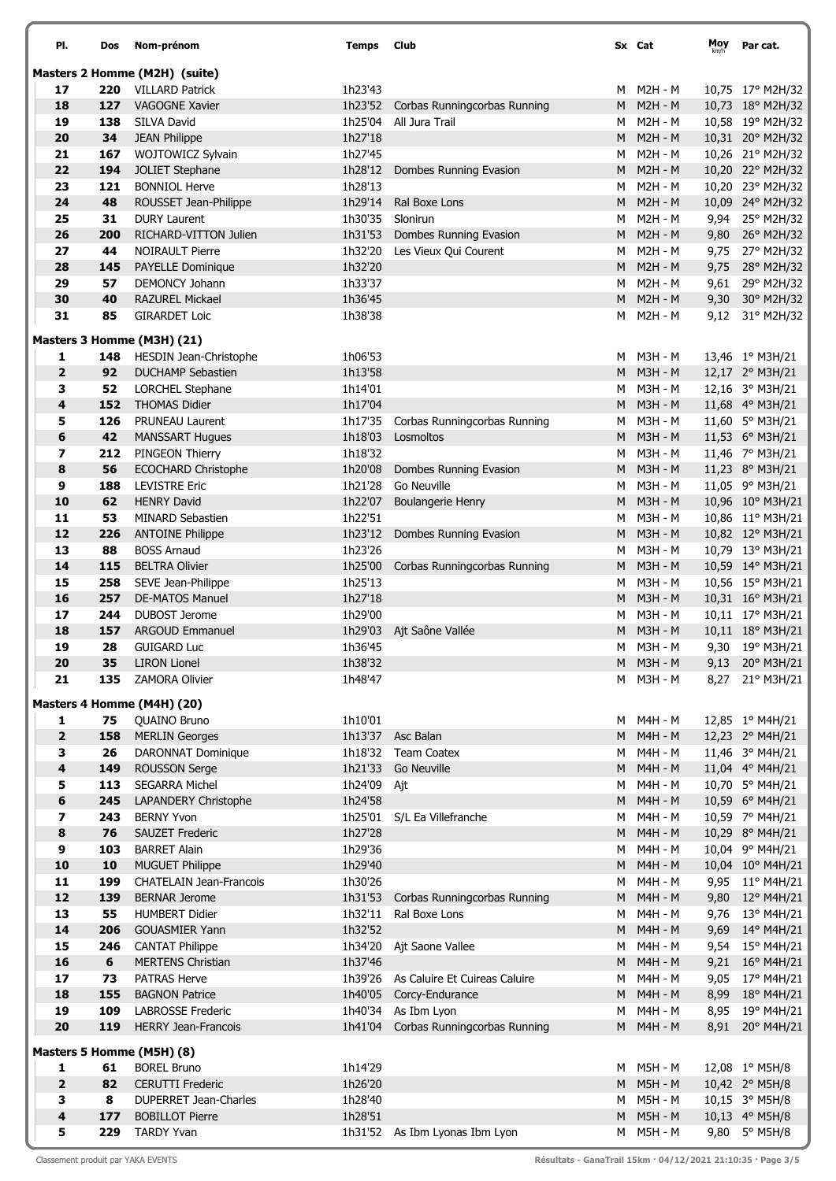| PI.                          | Dos        | Nom-prénom                                         | Temps              | Club                                            |        | Sx Cat                    | Moy | Par cat.                           |
|------------------------------|------------|----------------------------------------------------|--------------------|-------------------------------------------------|--------|---------------------------|-----|------------------------------------|
|                              |            | Masters 2 Homme (M2H) (suite)                      |                    |                                                 |        |                           |     |                                    |
| 17                           | 220        | <b>VILLARD Patrick</b>                             | 1h23'43            |                                                 | м      | <b>M2H - M</b>            |     | 10,75 17° M2H/32                   |
| 18                           | 127        | <b>VAGOGNE Xavier</b>                              |                    | 1h23'52 Corbas Runningcorbas Running            | M      | <b>M2H - M</b>            |     | 10,73 18° M2H/32                   |
| 19                           | 138        | SILVA David                                        | 1h25'04            | All Jura Trail                                  | м      | <b>M2H - M</b>            |     | 10,58 19° M2H/32                   |
| 20                           | 34         | <b>JEAN Philippe</b>                               | 1h27'18            |                                                 | M      | <b>M2H - M</b>            |     | 10,31 20° M2H/32                   |
| 21                           | 167        | WOJTOWICZ Sylvain                                  | 1h27'45            |                                                 | M      | <b>M2H - M</b>            |     | 10,26 21° M2H/32                   |
| 22                           | 194        | <b>JOLIET Stephane</b>                             | 1h28'12            | Dombes Running Evasion                          | M      | <b>M2H - M</b>            |     | 10,20 22° M2H/32                   |
| 23                           | 121        | <b>BONNIOL Herve</b>                               | 1h28'13            |                                                 | M      | <b>M2H - M</b>            |     | 10,20 23° M2H/32                   |
| 24                           | 48         | ROUSSET Jean-Philippe                              | 1h29'14            | Ral Boxe Lons                                   | M      | <b>M2H - M</b>            |     | 10,09 24° M2H/32                   |
| 25<br>26                     | 31<br>200  | <b>DURY Laurent</b><br>RICHARD-VITTON Julien       | 1h30'35            | Slonirun                                        | M<br>M | M2H - M<br>$M2H - M$      |     | 9,94 25° M2H/32                    |
| 27                           | 44         | <b>NOIRAULT Pierre</b>                             | 1h31'53<br>1h32'20 | Dombes Running Evasion<br>Les Vieux Qui Courent | M      | <b>M2H - M</b>            |     | 9,80 26° M2H/32<br>9,75 27° M2H/32 |
| 28                           | 145        | PAYELLE Dominique                                  | 1h32'20            |                                                 |        | M M2H-M                   |     | 9,75 28° M2H/32                    |
| 29                           | 57         | <b>DEMONCY Johann</b>                              | 1h33'37            |                                                 | M      | M2H - M                   |     | 9,61 29° M2H/32                    |
| 30                           | 40         | <b>RAZUREL Mickael</b>                             | 1h36'45            |                                                 | M      | <b>M2H - M</b>            |     | 9,30 30° M2H/32                    |
| 31                           | 85         | <b>GIRARDET Loic</b>                               | 1h38'38            |                                                 | м      | M2H - M                   |     | 9,12 31° M2H/32                    |
|                              |            |                                                    |                    |                                                 |        |                           |     |                                    |
|                              |            | Masters 3 Homme (M3H) (21)                         |                    |                                                 |        |                           |     |                                    |
| 1                            | 148        | <b>HESDIN Jean-Christophe</b>                      | 1h06'53            |                                                 | M      | M3H - M                   |     | 13,46 1° M3H/21                    |
| $\overline{2}$               | 92         | <b>DUCHAMP Sebastien</b>                           | 1h13'58            |                                                 | M      | <b>M3H - M</b>            |     | 12,17 2° M3H/21                    |
| 3                            | 52         | <b>LORCHEL Stephane</b>                            | 1h14'01            |                                                 | M      | M3H - M                   |     | 12,16 3° M3H/21                    |
| 4                            | 152        | <b>THOMAS Didier</b>                               | 1h17'04            |                                                 | M      | <b>M3H - M</b>            |     | 11,68 4° M3H/21                    |
| 5                            | 126        | <b>PRUNEAU Laurent</b>                             | 1h17'35            | Corbas Runningcorbas Running                    | M      | M3H - M                   |     | 11,60 5° M3H/21                    |
| 6<br>7                       | 42<br>212  | <b>MANSSART Hugues</b><br>PINGEON Thierry          | 1h18'03<br>1h18'32 | Losmoltos                                       | M<br>M | <b>M3H - M</b><br>M3H - M |     | 11,53 6° M3H/21                    |
| 8                            | 56         | <b>ECOCHARD Christophe</b>                         | 1h20'08            | Dombes Running Evasion                          | M      | <b>M3H - M</b>            |     | 11,46 7° M3H/21<br>11,23 8° M3H/21 |
| 9                            | 188        | <b>LEVISTRE Eric</b>                               | 1h21'28            | Go Neuville                                     | М      | M3H - M                   |     | 11,05 9° M3H/21                    |
| 10                           | 62         | <b>HENRY David</b>                                 | 1h22'07            | <b>Boulangerie Henry</b>                        | M      | <b>M3H - M</b>            |     | 10,96 10° M3H/21                   |
| 11                           | 53         | <b>MINARD Sebastien</b>                            | 1h22'51            |                                                 | M      | M3H - M                   |     | 10,86 11° M3H/21                   |
| 12                           | 226        | <b>ANTOINE Philippe</b>                            | 1h23'12            | Dombes Running Evasion                          | M      | <b>M3H - M</b>            |     | 10,82 12° M3H/21                   |
| 13                           | 88         | <b>BOSS Arnaud</b>                                 | 1h23'26            |                                                 | м      | M3H - M                   |     | 10,79 13° M3H/21                   |
| 14                           | 115        | <b>BELTRA Olivier</b>                              | 1h25'00            | Corbas Runningcorbas Running                    | M      | <b>M3H - M</b>            |     | 10,59 14° M3H/21                   |
| 15                           | 258        | SEVE Jean-Philippe                                 | 1h25'13            |                                                 | м      | M3H - M                   |     | 10,56 15° M3H/21                   |
| 16                           | 257        | <b>DE-MATOS Manuel</b>                             | 1h27'18            |                                                 | M      | <b>M3H - M</b>            |     | 10,31 16° M3H/21                   |
| 17                           | 244        | <b>DUBOST Jerome</b>                               | 1h29'00            |                                                 | M      | M3H - M                   |     | 10,11 17° M3H/21                   |
| 18                           | 157        | <b>ARGOUD Emmanuel</b>                             | 1h29'03            | Ajt Saône Vallée                                | M      | <b>M3H - M</b>            |     | 10,11 18° M3H/21                   |
| 19                           | 28         | <b>GUIGARD Luc</b>                                 | 1h36'45            |                                                 |        | M M3H-M                   |     | 9,30 19° M3H/21                    |
| 20                           | 35         | <b>LIRON Lionel</b>                                | 1h38'32            |                                                 |        | M M3H - M                 |     | 9,13 20° M3H/21                    |
| 21                           | 135        | <b>ZAMORA Olivier</b>                              | 1h48'47            |                                                 | м      | M3H - M                   |     | 8,27 21° M3H/21                    |
|                              |            | Masters 4 Homme (M4H) (20)                         |                    |                                                 |        |                           |     |                                    |
| 1                            | 75         | <b>QUAINO Bruno</b>                                | 1h10'01            |                                                 | м      | M4H - M                   |     | 12,85 1° M4H/21                    |
| $\overline{\mathbf{2}}$      | 158        | <b>MERLIN Georges</b>                              |                    | 1h13'37 Asc Balan                               | M      | <b>M4H - M</b>            |     | 12,23 2° M4H/21                    |
| 3                            | 26         | <b>DARONNAT Dominique</b>                          | 1h18'32            | Team Coatex                                     | м      | M4H - M                   |     | 11,46 3° M4H/21                    |
| 4                            | 149        | <b>ROUSSON Serge</b>                               | 1h21'33            | Go Neuville                                     | M      | $M4H - M$                 |     | 11,04 4° M4H/21                    |
| 5                            | 113        | <b>SEGARRA Michel</b>                              | 1h24'09            | Ajt                                             | M      | M4H - M                   |     | 10,70 5° M4H/21                    |
| 6                            | 245        | <b>LAPANDERY Christophe</b>                        | 1h24'58            |                                                 | M      | M4H - M                   |     | 10,59 6° M4H/21                    |
| 7                            | 243        | <b>BERNY Yvon</b>                                  |                    | 1h25'01 S/L Ea Villefranche                     | м      | M4H - M                   |     | 10,59 7° M4H/21                    |
| 8                            | 76         | <b>SAUZET Frederic</b>                             | 1h27'28            |                                                 | M      | <b>M4H - M</b>            |     | 10,29 8° M4H/21                    |
| 9                            | 103        | <b>BARRET Alain</b>                                | 1h29'36            |                                                 | M      | M4H - M                   |     | 10,04 9° M4H/21                    |
| 10                           | 10         | <b>MUGUET Philippe</b>                             | 1h29'40            |                                                 | M      | M4H - M                   |     | 10,04 10° M4H/21                   |
| 11                           | 199        | <b>CHATELAIN Jean-Francois</b>                     | 1h30'26            |                                                 | М      | M4H - M                   |     | 9,95 11° M4H/21                    |
| 12                           | 139        | <b>BERNAR Jerome</b>                               | 1h31'53            | Corbas Runningcorbas Running                    | M      | <b>M4H - M</b>            |     | 9,80 12° M4H/21                    |
| 13                           | 55         | <b>HUMBERT Didier</b>                              | 1h32'11            | Ral Boxe Lons                                   | м      | M4H - M                   |     | 9,76 13° M4H/21                    |
| 14<br>15                     | 206<br>246 | <b>GOUASMIER Yann</b>                              | 1h32'52            |                                                 | M      | <b>M4H - M</b><br>M4H - M |     | 9,69 14° M4H/21                    |
| 16                           | 6          | <b>CANTAT Philippe</b><br><b>MERTENS Christian</b> | 1h37'46            | 1h34'20 Ajt Saone Vallee                        | M<br>M | <b>M4H - M</b>            |     | 9,54 15° M4H/21                    |
| 17                           | 73         | <b>PATRAS Herve</b>                                |                    | 1h39'26 As Caluire Et Cuireas Caluire           | M      | M4H - M                   |     | 9,21 16° M4H/21<br>9,05 17° M4H/21 |
| 18                           | 155        | <b>BAGNON Patrice</b>                              | 1h40'05            | Corcy-Endurance                                 | M      | <b>M4H - M</b>            |     | 8,99 18° M4H/21                    |
| 19                           | 109        | <b>LABROSSE Frederic</b>                           |                    | 1h40'34 As Ibm Lyon                             | M      | M4H - M                   |     | 8,95 19° M4H/21                    |
| 20                           | 119        | HERRY Jean-Francois                                |                    | 1h41'04 Corbas Runningcorbas Running            | M      | M4H - M                   |     | 8,91 20° M4H/21                    |
|                              |            |                                                    |                    |                                                 |        |                           |     |                                    |
|                              |            | Masters 5 Homme (M5H) (8)                          |                    |                                                 |        |                           |     |                                    |
| 1                            | 61         | <b>BOREL Bruno</b>                                 | 1h14'29            |                                                 | M      | <b>M5H - M</b>            |     | 12,08 1° M5H/8                     |
| $\overline{\mathbf{2}}$      | 82         | <b>CERUTTI Frederic</b>                            | 1h26'20            |                                                 | M      | <b>M5H - M</b>            |     | 10,42 2° M5H/8                     |
| 3<br>$\overline{\mathbf{4}}$ | 8<br>177   | DUPERRET Jean-Charles<br><b>BOBILLOT Pierre</b>    | 1h28'40<br>1h28'51 |                                                 |        | M M5H-M<br>M M5H - M      |     | 10,15 3° M5H/8<br>10,13 4° M5H/8   |
| 5                            | 229        | <b>TARDY Yvan</b>                                  |                    | 1h31'52 As Ibm Lyonas Ibm Lyon                  | M      | M5H - M                   |     | 9,80 5° M5H/8                      |
|                              |            |                                                    |                    |                                                 |        |                           |     |                                    |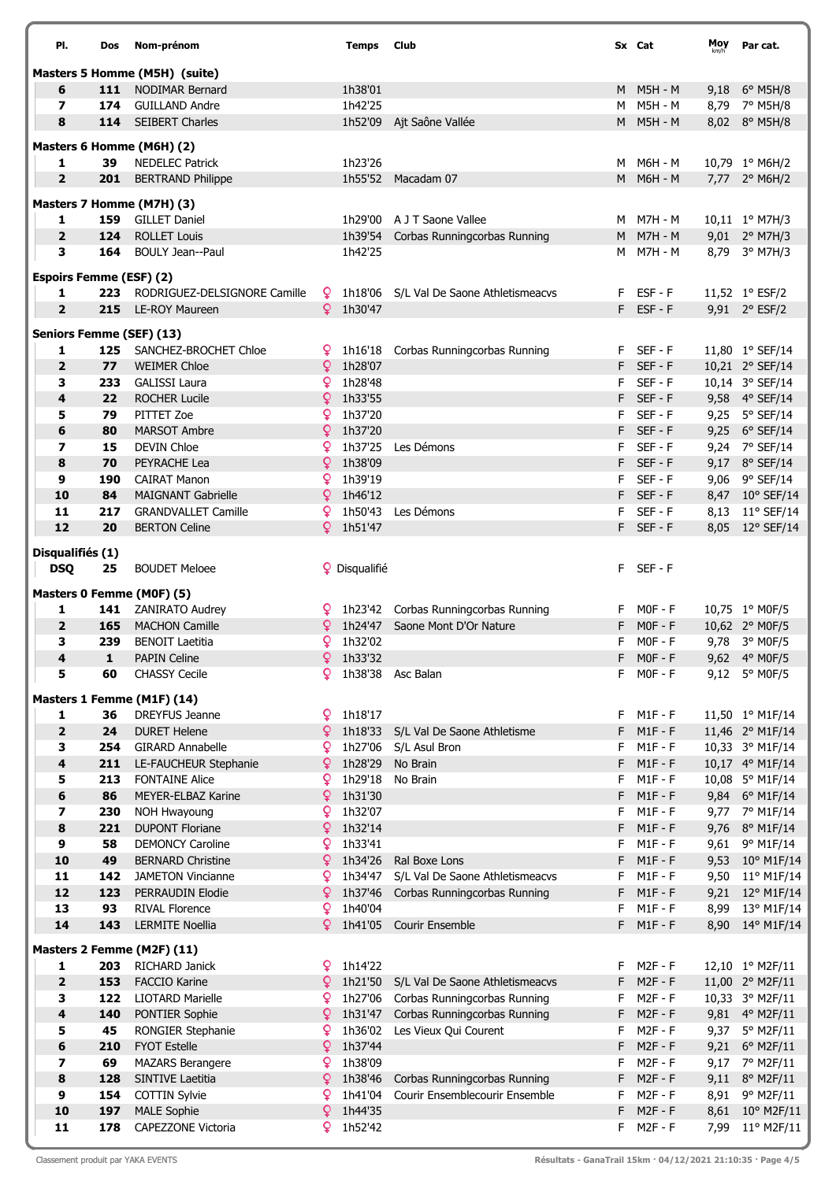| PI.                             | Dos                | Nom-prénom                                              |              | <b>Temps</b> Club    |                                                                              |          | Sx Cat                 | Moy  | Par cat.                           |
|---------------------------------|--------------------|---------------------------------------------------------|--------------|----------------------|------------------------------------------------------------------------------|----------|------------------------|------|------------------------------------|
|                                 |                    |                                                         |              |                      |                                                                              |          |                        |      |                                    |
| 6                               | 111                | Masters 5 Homme (M5H) (suite)<br><b>NODIMAR Bernard</b> |              | 1h38'01              |                                                                              |          | M M5H-M                |      | 9,18 6° M5H/8                      |
| $\overline{\phantom{a}}$        | 174                | GUILLAND Andre                                          |              | 1h42'25              |                                                                              | M        | M5H - M                |      | 8,79 7° M5H/8                      |
| 8                               |                    | 114 SEIBERT Charles                                     |              |                      | 1h52'09 Ajt Saône Vallée                                                     |          | M M5H - M              |      | 8,02 8° M5H/8                      |
|                                 |                    |                                                         |              |                      |                                                                              |          |                        |      |                                    |
|                                 |                    | Masters 6 Homme (M6H) (2)                               |              |                      |                                                                              |          |                        |      |                                    |
| 1                               | 39                 | <b>NEDELEC Patrick</b>                                  |              | 1h23'26              |                                                                              | M        | M6H - M                |      | 10,79 1° M6H/2                     |
| $\overline{2}$                  | 201                | <b>BERTRAND Philippe</b>                                |              |                      | 1h55'52 Macadam 07                                                           |          | M M6H-M                |      | 7,77 2° M6H/2                      |
|                                 |                    | Masters 7 Homme (M7H) (3)                               |              |                      |                                                                              |          |                        |      |                                    |
| 1                               | 159                | <b>GILLET Daniel</b>                                    |              |                      | 1h29'00 A J T Saone Vallee                                                   |          | M M7H-M                |      | 10,11 1° M7H/3                     |
| $\overline{2}$                  | 124                | <b>ROLLET Louis</b>                                     |              | 1h39'54              | Corbas Runningcorbas Running                                                 | M        | <b>M7H - M</b>         |      | 9,01 2° M7H/3                      |
| 3                               | 164                | <b>BOULY Jean--Paul</b>                                 |              | 1h42'25              |                                                                              | M        | M7H - M                |      | 8,79 3° M7H/3                      |
| <b>Espoirs Femme (ESF) (2)</b>  |                    |                                                         |              |                      |                                                                              |          |                        |      |                                    |
| 1                               | 223                | RODRIGUEZ-DELSIGNORE Camille                            |              |                      | P 1h18'06 S/L Val De Saone Athletismeacvs                                    |          | F ESF-F                |      | 11,52 1° ESF/2                     |
| $\overline{2}$                  | 215                | LE-ROY Maureen                                          |              | $9$ 1h30'47          |                                                                              |          | F ESF-F                |      | 9,91 2° ESF/2                      |
| <b>Seniors Femme (SEF) (13)</b> |                    |                                                         |              |                      |                                                                              |          |                        |      |                                    |
| 1                               | 125                | SANCHEZ-BROCHET Chloe                                   | ¥            |                      | 1h16'18 Corbas Runningcorbas Running                                         |          | F SEF-F                |      | 11,80 1° SEF/14                    |
| $\overline{\mathbf{2}}$         | 77                 | <b>WEIMER Chloe</b>                                     | <u>Q</u>     | 1h28'07              |                                                                              |          | F SEF-F                |      | 10,21 2° SEF/14                    |
| 3                               | 233                | <b>GALISSI Laura</b>                                    | Q.           | 1h28'48              |                                                                              | F.       | $SEF - F$              |      | 10,14 3° SEF/14                    |
| 4                               | 22                 | <b>ROCHER Lucile</b>                                    | ¥.           | 1h33'55              |                                                                              |          | F SEF-F                |      | 9,58 4° SEF/14                     |
| 5                               | 79                 | PITTET Zoe                                              | Q            | 1h37'20              |                                                                              | F.       | $SEF - F$              |      | 9,25 5° SEF/14                     |
| 6                               | 80                 | <b>MARSOT Ambre</b>                                     |              | $9 \t1h37'20$        |                                                                              | F.       | $SEF - F$              |      | 9,25 6° SEF/14                     |
| 7                               | 15                 | <b>DEVIN Chloe</b>                                      | Q.           | 1h37'25              | Les Démons                                                                   | F.       | SEF-F                  |      | 9,24 7° SEF/14                     |
| 8                               | 70                 | PEYRACHE Lea                                            | ¥            | 1h38'09              |                                                                              | F.       | $SEF - F$              |      | 9,17 8° SEF/14                     |
| 9<br>10                         | 190<br>84          | <b>CAIRAT Manon</b><br><b>MAIGNANT Gabrielle</b>        | Q<br>Q       | 1h39'19<br>1h46'12   |                                                                              | F.<br>F. | $SEF - F$<br>SEF-F     |      | 9,06 9° SEF/14<br>8,47 10° SEF/14  |
| 11                              | 217                | <b>GRANDVALLET Camille</b>                              | Q            | 1h50'43              | Les Démons                                                                   | F.       | $SEF - F$              |      | 8,13 11° SEF/14                    |
| 12                              | 20                 | <b>BERTON Celine</b>                                    |              | $9$ 1h51'47          |                                                                              |          | F SEF-F                |      | 8,05 12° SEF/14                    |
|                                 |                    |                                                         |              |                      |                                                                              |          |                        |      |                                    |
| Disqualifiés (1)                |                    |                                                         |              |                      |                                                                              |          |                        |      |                                    |
| <b>DSQ</b>                      | 25                 | <b>BOUDET Meloee</b>                                    |              | <b>9</b> Disqualifié |                                                                              | F.       | SEF-F                  |      |                                    |
|                                 |                    | Masters 0 Femme (M0F) (5)                               |              |                      |                                                                              |          |                        |      |                                    |
| 1                               |                    | 141 ZANIRATO Audrey                                     |              |                      | 9 1h23'42 Corbas Runningcorbas Running                                       | F.       | $MOF - F$              |      | 10,75 1° M0F/5                     |
| $\mathbf{2}$                    | 165                | <b>MACHON Camille</b>                                   |              |                      | 9 1h24'47 Saone Mont D'Or Nature                                             | F.       | $MOF - F$              |      | 10,62 2° M0F/5                     |
| 3                               | 239                | <b>BENOIT Laetitia</b>                                  | ò            | 1h32'02              |                                                                              | F.       | $MOF - F$              |      | 9,78 3° M0F/5                      |
| $\boldsymbol{4}$<br>5           | $\mathbf{1}$<br>60 | <b>PAPIN Celine</b><br><b>CHASSY Cecile</b>             | Q            | $9$ 1h33'32          | 1h38'38 Asc Balan                                                            | F.       | F MOF-F<br>$MOF - F$   |      | 9,62 4° MOF/5<br>9,12 5° M0F/5     |
|                                 |                    |                                                         |              |                      |                                                                              |          |                        |      |                                    |
|                                 |                    | Masters 1 Femme (M1F) (14)                              |              |                      |                                                                              |          |                        |      |                                    |
| 1                               | 36                 | <b>DREYFUS Jeanne</b>                                   | Q            | 1h18'17              |                                                                              | F.       | $M1F - F$              |      | 11,50 1° M1F/14                    |
| $\mathbf 2$                     | 24                 | <b>DURET Helene</b><br><b>GIRARD Annabelle</b>          | ₽            | 1h18'33              | S/L Val De Saone Athletisme                                                  | F        | $M1F - F$<br>$M1F - F$ |      | 11,46 2° M1F/14                    |
| 3<br>4                          | 254<br>211         | LE-FAUCHEUR Stephanie                                   | Q<br>Q       | 1h27'06<br>1h28'29   | S/L Asul Bron<br>No Brain                                                    | F<br>F.  | $M1F - F$              |      | 10,33 3° M1F/14<br>10,17 4° M1F/14 |
| 5                               | 213                | <b>FONTAINE Alice</b>                                   | Q            | 1h29'18              | No Brain                                                                     | F.       | $M1F - F$              |      | 10,08 5° M1F/14                    |
| 6                               | 86                 | MEYER-ELBAZ Karine                                      | ò            | 1h31'30              |                                                                              | F.       | $M1F - F$              |      | 9,84 6° M1F/14                     |
| 7                               | 230                | NOH Hwayoung                                            | Q            | 1h32'07              |                                                                              | F        | $M1F - F$              |      | 9,77 7° M1F/14                     |
| 8                               | 221                | <b>DUPONT Floriane</b>                                  | ò            | 1h32'14              |                                                                              | F.       | $M1F - F$              |      | 9,76 8° M1F/14                     |
| 9                               | 58                 | <b>DEMONCY Caroline</b>                                 | Q            | 1h33'41              |                                                                              | F.       | $M1F - F$              |      | 9,61 9° M1F/14                     |
| 10                              | 49                 | <b>BERNARD Christine</b>                                | $\mathsf{Q}$ | 1h34'26              | Ral Boxe Lons                                                                | F.       | $M1F - F$              |      | 9,53 10° M1F/14                    |
| 11                              | 142                | <b>JAMETON Vincianne</b>                                | ¥            | 1h34'47              | S/L Val De Saone Athletismeacvs                                              | F.       | $M1F - F$              |      | 9,50 11° M1F/14                    |
| 12                              | 123                | PERRAUDIN Elodie                                        | ¥            | 1h37'46              | Corbas Runningcorbas Running                                                 | F.       | $M1F - F$              |      | 9,21 12° M1F/14                    |
| 13<br>14                        | 93<br>143          | <b>RIVAL Florence</b><br><b>LERMITE Noellia</b>         | Q<br>Q.      | 1h40'04<br>1h41'05   | Courir Ensemble                                                              | F<br>F.  | $M1F - F$<br>$M1F - F$ |      | 8,99 13° M1F/14<br>8,90 14° M1F/14 |
|                                 |                    |                                                         |              |                      |                                                                              |          |                        |      |                                    |
|                                 |                    | Masters 2 Femme (M2F) (11)                              |              |                      |                                                                              |          |                        |      |                                    |
| 1                               | 203                | RICHARD Janick                                          | Q            | 1h14'22              |                                                                              | F.       | $M2F - F$              |      | 12,10 1° M2F/11                    |
| $\mathbf 2$                     | 153                | <b>FACCIO Karine</b>                                    | ò            | 1h21'50              | S/L Val De Saone Athletismeacvs                                              | F.       | $M2F - F$              |      | 11,00 2° M2F/11                    |
| 3<br>4                          | 122<br>140         | <b>LIOTARD Marielle</b><br>PONTIER Sophie               | Q<br>Q       |                      | 1h27'06 Corbas Runningcorbas Running<br>1h31'47 Corbas Runningcorbas Running | F.<br>F. | $M2F - F$<br>$M2F - F$ |      | 10,33 3° M2F/11<br>9,81 4° M2F/11  |
| 5                               | 45                 | RONGIER Stephanie                                       | Q            |                      | 1h36'02 Les Vieux Qui Courent                                                | F.       | $M2F - F$              |      | 9,37 5° M2F/11                     |
| 6                               | 210                | <b>FYOT Estelle</b>                                     | $\mathsf{Q}$ | 1h37'44              |                                                                              | F.       | $M2F - F$              |      | 9,21 6° M2F/11                     |
| $\overline{\mathbf{z}}$         | 69                 | <b>MAZARS Berangere</b>                                 | Q            | 1h38'09              |                                                                              | F.       | $M2F - F$              |      | 9,17 7° M2F/11                     |
| 8                               | 128                | SINTIVE Laetitia                                        | ò            | 1h38'46              | Corbas Runningcorbas Running                                                 | F.       | $M2F - F$              |      | 9,11 8° M2F/11                     |
| 9                               | 154                | <b>COTTIN Sylvie</b>                                    | Q            | 1h41'04              | Courir Ensemblecourir Ensemble                                               | F.       | $M2F - F$              | 8,91 | 9° M2F/11                          |
| 10                              | 197                | <b>MALE Sophie</b>                                      | Q            | 1h44'35              |                                                                              | F.       | $M2F - F$              |      | 8,61 10° M2F/11                    |
| 11                              | 178                | CAPEZZONE Victoria                                      | Q.           | 1h52'42              |                                                                              | F.       | $M2F - F$              |      | 7,99 11° M2F/11                    |